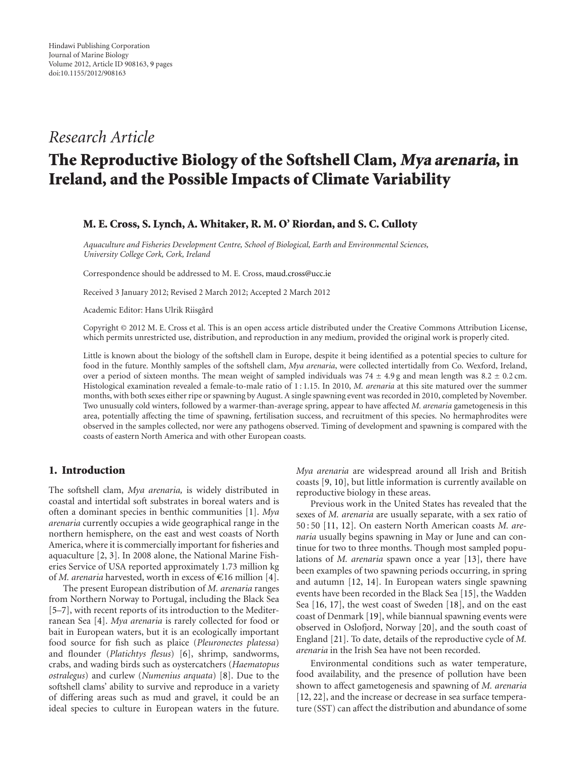# *Research Article*

# **The Reproductive Biology of the Softshell Clam, Mya arenaria, in Ireland, and the Possible Impacts of Climate Variability**

# **M. E. Cross, S. Lynch, A. Whitaker, R. M. O' Riordan, and S. C. Culloty**

*Aquaculture and Fisheries Development Centre, School of Biological, Earth and Environmental Sciences, University College Cork, Cork, Ireland*

Correspondence should be addressed to M. E. Cross, maud.cross@ucc.ie

Received 3 January 2012; Revised 2 March 2012; Accepted 2 March 2012

Academic Editor: Hans Ulrik Riisgård

Copyright © 2012 M. E. Cross et al. This is an open access article distributed under the Creative Commons Attribution License, which permits unrestricted use, distribution, and reproduction in any medium, provided the original work is properly cited.

Little is known about the biology of the softshell clam in Europe, despite it being identified as a potential species to culture for food in the future. Monthly samples of the softshell clam, *Mya arenaria*, were collected intertidally from Co. Wexford, Ireland, over a period of sixteen months. The mean weight of sampled individuals was 74 <sup>±</sup> <sup>4</sup>*.*9 g and mean length was 8*.*<sup>2</sup> <sup>±</sup> <sup>0</sup>*.*2 cm. Histological examination revealed a female-to-male ratio of 1 : 1.15. In 2010, *M. arenaria* at this site matured over the summer months, with both sexes either ripe or spawning by August. A single spawning event was recorded in 2010, completed by November. Two unusually cold winters, followed by a warmer-than-average spring, appear to have affected *M. arenaria* gametogenesis in this area, potentially affecting the time of spawning, fertilisation success, and recruitment of this species. No hermaphrodites were observed in the samples collected, nor were any pathogens observed. Timing of development and spawning is compared with the coasts of eastern North America and with other European coasts.

# **1. Introduction**

The softshell clam, *Mya arenaria,* is widely distributed in coastal and intertidal soft substrates in boreal waters and is often a dominant species in benthic communities [1]. *Mya arenaria* currently occupies a wide geographical range in the northern hemisphere, on the east and west coasts of North America, where it is commercially important for fisheries and aquaculture [2, 3]. In 2008 alone, the National Marine Fisheries Service of USA reported approximately 1.73 million kg of *M. arenaria* harvested, worth in excess of  $\epsilon$ 16 million [4].

The present European distribution of *M. arenaria* ranges from Northern Norway to Portugal, including the Black Sea [5–7], with recent reports of its introduction to the Mediterranean Sea [4]. *Mya arenaria* is rarely collected for food or bait in European waters, but it is an ecologically important food source for fish such as plaice (*Pleuronectes platessa*) and flounder (*Platichtys flesus*) [6], shrimp, sandworms, crabs, and wading birds such as oystercatchers (*Haematopus ostralegus*) and curlew (*Numenius arquata*) [8]. Due to the softshell clams' ability to survive and reproduce in a variety of differing areas such as mud and gravel, it could be an ideal species to culture in European waters in the future.

*Mya arenaria* are widespread around all Irish and British coasts [9, 10], but little information is currently available on reproductive biology in these areas.

Previous work in the United States has revealed that the sexes of *M. arenaria* are usually separate, with a sex ratio of 50 : 50 [11, 12]. On eastern North American coasts *M. arenaria* usually begins spawning in May or June and can continue for two to three months. Though most sampled populations of *M. arenaria* spawn once a year [13], there have been examples of two spawning periods occurring, in spring and autumn [12, 14]. In European waters single spawning events have been recorded in the Black Sea [15], the Wadden Sea [16, 17], the west coast of Sweden [18], and on the east coast of Denmark [19], while biannual spawning events were observed in Oslofjord, Norway [20], and the south coast of England [21]. To date, details of the reproductive cycle of *M. arenaria* in the Irish Sea have not been recorded.

Environmental conditions such as water temperature, food availability, and the presence of pollution have been shown to affect gametogenesis and spawning of *M. arenaria* [12, 22], and the increase or decrease in sea surface temperature (SST) can affect the distribution and abundance of some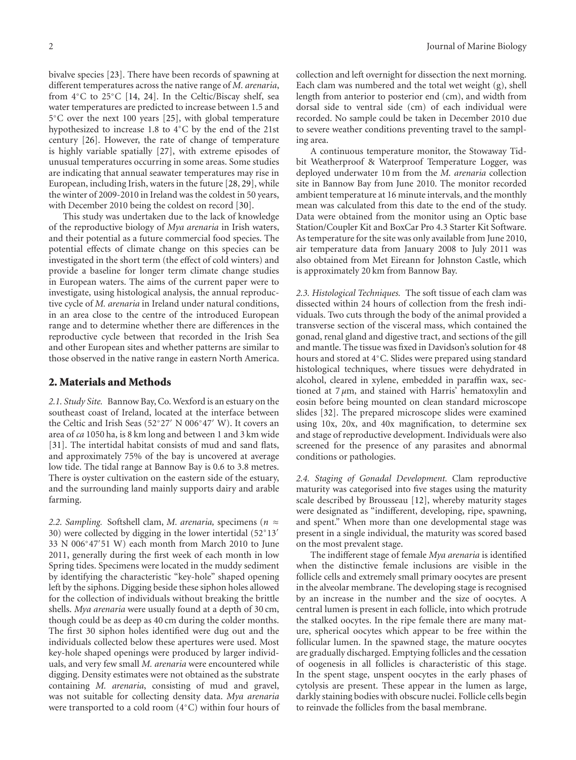bivalve species [23]. There have been records of spawning at different temperatures across the native range of *M. arenaria*, from 4◦C to 25◦C [14, 24]. In the Celtic/Biscay shelf, sea water temperatures are predicted to increase between 1.5 and 5◦C over the next 100 years [25], with global temperature hypothesized to increase 1.8 to 4◦C by the end of the 21st century [26]. However, the rate of change of temperature is highly variable spatially [27], with extreme episodes of unusual temperatures occurring in some areas. Some studies are indicating that annual seawater temperatures may rise in European, including Irish, waters in the future [28, 29], while the winter of 2009-2010 in Ireland was the coldest in 50 years, with December 2010 being the coldest on record [30].

This study was undertaken due to the lack of knowledge of the reproductive biology of *Mya arenaria* in Irish waters, and their potential as a future commercial food species. The potential effects of climate change on this species can be investigated in the short term (the effect of cold winters) and provide a baseline for longer term climate change studies in European waters. The aims of the current paper were to investigate, using histological analysis, the annual reproductive cycle of *M. arenaria* in Ireland under natural conditions, in an area close to the centre of the introduced European range and to determine whether there are differences in the reproductive cycle between that recorded in the Irish Sea and other European sites and whether patterns are similar to those observed in the native range in eastern North America.

## **2. Materials and Methods**

*2.1. Study Site.* Bannow Bay, Co. Wexford is an estuary on the southeast coast of Ireland, located at the interface between the Celtic and Irish Seas (52◦27 N 006◦47 W). It covers an area of *ca* 1050 ha, is 8 km long and between 1 and 3 km wide [31]. The intertidal habitat consists of mud and sand flats, and approximately 75% of the bay is uncovered at average low tide. The tidal range at Bannow Bay is 0.6 to 3.8 metres. There is oyster cultivation on the eastern side of the estuary, and the surrounding land mainly supports dairy and arable farming.

*2.2. Sampling.* Softshell clam, *M. arenaria,* specimens (*<sup>n</sup>* <sup>≈</sup> 30) were collected by digging in the lower intertidal (52◦13 33 N 006◦47 51 W) each month from March 2010 to June 2011, generally during the first week of each month in low Spring tides. Specimens were located in the muddy sediment by identifying the characteristic "key-hole" shaped opening left by the siphons. Digging beside these siphon holes allowed for the collection of individuals without breaking the brittle shells. *Mya arenaria* were usually found at a depth of 30 cm, though could be as deep as 40 cm during the colder months. The first 30 siphon holes identified were dug out and the individuals collected below these apertures were used. Most key-hole shaped openings were produced by larger individuals, and very few small *M. arenaria* were encountered while digging. Density estimates were not obtained as the substrate containing *M. arenaria*, consisting of mud and gravel, was not suitable for collecting density data. *Mya arenaria* were transported to a cold room (4◦C) within four hours of collection and left overnight for dissection the next morning. Each clam was numbered and the total wet weight (g), shell length from anterior to posterior end (cm), and width from dorsal side to ventral side (cm) of each individual were recorded. No sample could be taken in December 2010 due to severe weather conditions preventing travel to the sampling area.

A continuous temperature monitor, the Stowaway Tidbit Weatherproof & Waterproof Temperature Logger, was deployed underwater 10 m from the *M. arenaria* collection site in Bannow Bay from June 2010. The monitor recorded ambient temperature at 16 minute intervals, and the monthly mean was calculated from this date to the end of the study. Data were obtained from the monitor using an Optic base Station/Coupler Kit and BoxCar Pro 4.3 Starter Kit Software. As temperature for the site was only available from June 2010, air temperature data from January 2008 to July 2011 was also obtained from Met Eireann for Johnston Castle, which is approximately 20 km from Bannow Bay.

*2.3. Histological Techniques.* The soft tissue of each clam was dissected within 24 hours of collection from the fresh individuals. Two cuts through the body of the animal provided a transverse section of the visceral mass, which contained the gonad, renal gland and digestive tract, and sections of the gill and mantle. The tissue was fixed in Davidson's solution for 48 hours and stored at 4◦C. Slides were prepared using standard histological techniques, where tissues were dehydrated in alcohol, cleared in xylene, embedded in paraffin wax, sectioned at 7 *μ*m, and stained with Harris' hematoxylin and eosin before being mounted on clean standard microscope slides [32]. The prepared microscope slides were examined using 10x, 20x, and 40x magnification, to determine sex and stage of reproductive development. Individuals were also screened for the presence of any parasites and abnormal conditions or pathologies.

*2.4. Staging of Gonadal Development.* Clam reproductive maturity was categorised into five stages using the maturity scale described by Brousseau [12], whereby maturity stages were designated as "indifferent, developing, ripe, spawning, and spent." When more than one developmental stage was present in a single individual, the maturity was scored based on the most prevalent stage.

The indifferent stage of female *Mya arenaria* is identified when the distinctive female inclusions are visible in the follicle cells and extremely small primary oocytes are present in the alveolar membrane. The developing stage is recognised by an increase in the number and the size of oocytes. A central lumen is present in each follicle, into which protrude the stalked oocytes. In the ripe female there are many mature, spherical oocytes which appear to be free within the follicular lumen. In the spawned stage, the mature oocytes are gradually discharged. Emptying follicles and the cessation of oogenesis in all follicles is characteristic of this stage. In the spent stage, unspent oocytes in the early phases of cytolysis are present. These appear in the lumen as large, darkly staining bodies with obscure nuclei. Follicle cells begin to reinvade the follicles from the basal membrane.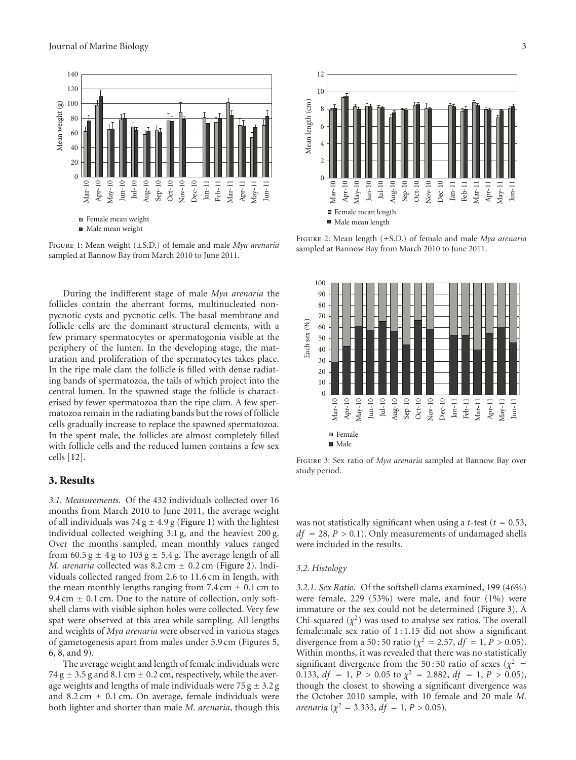

Figure 1: Mean weight (±S.D.) of female and male *Mya arenaria* sampled at Bannow Bay from March 2010 to June 2011.

During the indifferent stage of male *Mya arenaria* the follicles contain the aberrant forms, multinucleated nonpycnotic cysts and pycnotic cells. The basal membrane and follicle cells are the dominant structural elements, with a few primary spermatocytes or spermatogonia visible at the periphery of the lumen. In the developing stage, the maturation and proliferation of the spermatocytes takes place. In the ripe male clam the follicle is filled with dense radiating bands of spermatozoa, the tails of which project into the central lumen. In the spawned stage the follicle is characterised by fewer spermatozoa than the ripe clam. A few spermatozoa remain in the radiating bands but the rows of follicle cells gradually increase to replace the spawned spermatozoa. In the spent male, the follicles are almost completely filled with follicle cells and the reduced lumen contains a few sex cells [12].

# **3. Results**

*3.1. Measurements.* Of the 432 individuals collected over 16 months from March 2010 to June 2011, the average weight of all individuals was 74 g  $\pm$  4.9 g (Figure 1) with the lightest individual collected weighing 3.1 g, and the heaviest 200 g. Over the months sampled, mean monthly values ranged from 60.5 g  $\pm$  4 g to 103 g  $\pm$  5.4 g. The average length of all *M. arenaria* collected was  $8.2 \text{ cm} \pm 0.2 \text{ cm}$  (Figure 2). Individuals collected ranged from 2.6 to 11.6 cm in length, with the mean monthly lengths ranging from 7.4 cm  $\pm$  0.1 cm to 9.4 cm  $\pm$  0.1 cm. Due to the nature of collection, only softshell clams with visible siphon holes were collected. Very few spat were observed at this area while sampling. All lengths and weights of *Mya arenaria* were observed in various stages of gametogenesis apart from males under 5.9 cm (Figures 5, 6, 8, and 9).

The average weight and length of female individuals were 74 g  $\pm$  3.5 g and 8.1 cm  $\pm$  0.2 cm, respectively, while the average weights and lengths of male individuals were  $75 g \pm 3.2 g$ and 8.2 cm  $\pm$  0.1 cm. On average, female individuals were both lighter and shorter than male *M. arenaria*, though this



Figure 2: Mean length (±S.D.) of female and male *Mya arenaria* sampled at Bannow Bay from March 2010 to June 2011.



Figure 3: Sex ratio of *Mya arenaria* sampled at Bannow Bay over study period.

was not statistically significant when using a *t*-test ( $t = 0.53$ , *df* <sup>=</sup> 28, *P >* <sup>0</sup>*.*1). Only measurements of undamaged shells were included in the results.

#### *3.2. Histology*

*3.2.1. Sex Ratio.* Of the softshell clams examined, 199 (46%) were female, 229 (53%) were male, and four (1%) were immature or the sex could not be determined (Figure 3). A Chi-squared  $(\chi^2)$  was used to analyse sex ratios. The overall female:male sex ratio of  $1:1.15$  did not show a significant divergence from a 50 : 50 ratio ( $\chi^2 = 2.57$ ,  $df = 1$ ,  $P > 0.05$ ). Within months, it was revealed that there was no statistically significant divergence from the 50:50 ratio of sexes ( $\chi^2$  = 0.133,  $df = 1$ ,  $P > 0.05$  to  $\chi^2 = 2.882$ ,  $df = 1$ ,  $P > 0.05$ ), though the closest to showing a significant divergence was the October 2010 sample, with 10 female and 20 male *M. arenaria* ( $\chi^2 = 3.333$ , *df* = 1, *P* > 0.05).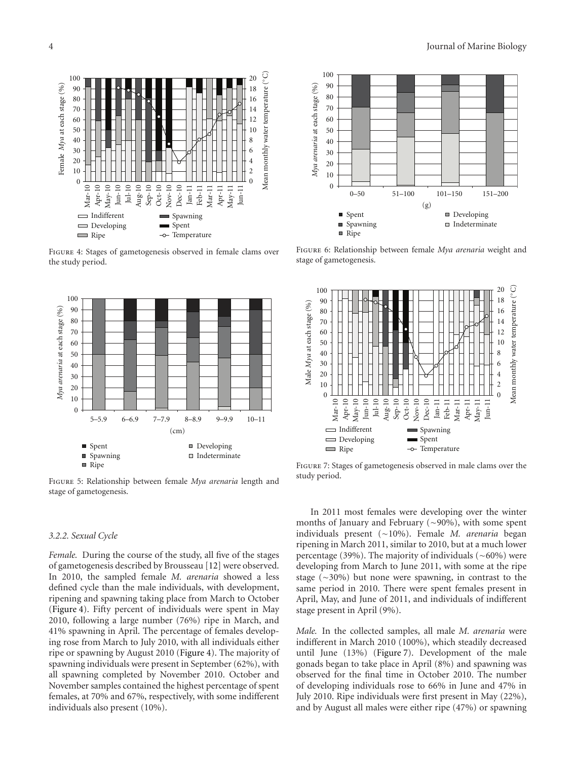

Figure 4: Stages of gametogenesis observed in female clams over the study period.



Figure 5: Relationship between female *Mya arenaria* length and stage of gametogenesis.

#### *3.2.2. Sexual Cycle*

*Female.* During the course of the study, all five of the stages of gametogenesis described by Brousseau [12] were observed. In 2010, the sampled female *M. arenaria* showed a less defined cycle than the male individuals, with development, ripening and spawning taking place from March to October (Figure 4). Fifty percent of individuals were spent in May 2010, following a large number (76%) ripe in March, and 41% spawning in April. The percentage of females developing rose from March to July 2010, with all individuals either ripe or spawning by August 2010 (Figure 4). The majority of spawning individuals were present in September (62%), with all spawning completed by November 2010. October and November samples contained the highest percentage of spent females, at 70% and 67%, respectively, with some indifferent individuals also present (10%).



Figure 6: Relationship between female *Mya arenaria* weight and stage of gametogenesis.

![](_page_3_Figure_9.jpeg)

Figure 7: Stages of gametogenesis observed in male clams over the study period.

In 2011 most females were developing over the winter months of January and February (∼90%), with some spent individuals present (∼10%). Female *M. arenaria* began ripening in March 2011, similar to 2010, but at a much lower percentage (39%). The majority of individuals (∼60%) were developing from March to June 2011, with some at the ripe stage (∼30%) but none were spawning, in contrast to the same period in 2010. There were spent females present in April, May, and June of 2011, and individuals of indifferent stage present in April (9%).

*Male.* In the collected samples, all male *M. arenaria* were indifferent in March 2010 (100%), which steadily decreased until June (13%) (Figure 7). Development of the male gonads began to take place in April (8%) and spawning was observed for the final time in October 2010. The number of developing individuals rose to 66% in June and 47% in July 2010. Ripe individuals were first present in May (22%), and by August all males were either ripe (47%) or spawning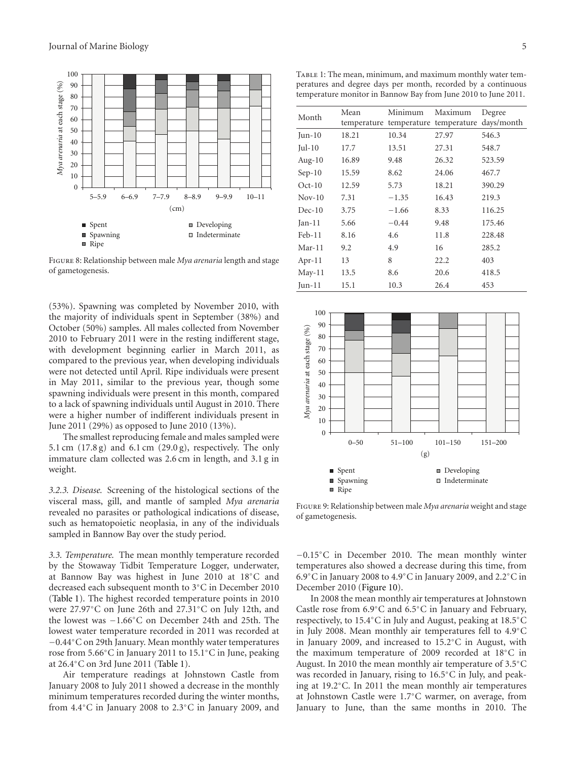![](_page_4_Figure_1.jpeg)

Figure 8: Relationship between male *Mya arenaria* length and stage of gametogenesis.

(53%). Spawning was completed by November 2010, with the majority of individuals spent in September (38%) and October (50%) samples. All males collected from November 2010 to February 2011 were in the resting indifferent stage, with development beginning earlier in March 2011, as compared to the previous year, when developing individuals were not detected until April. Ripe individuals were present in May 2011, similar to the previous year, though some spawning individuals were present in this month, compared to a lack of spawning individuals until August in 2010. There were a higher number of indifferent individuals present in June 2011 (29%) as opposed to June 2010 (13%).

The smallest reproducing female and males sampled were 5.1 cm (17.8 g) and 6.1 cm (29.0 g), respectively. The only immature clam collected was 2.6 cm in length, and 3.1 g in weight.

*3.2.3. Disease.* Screening of the histological sections of the visceral mass, gill, and mantle of sampled *Mya arenaria* revealed no parasites or pathological indications of disease, such as hematopoietic neoplasia, in any of the individuals sampled in Bannow Bay over the study period.

*3.3. Temperature.* The mean monthly temperature recorded by the Stowaway Tidbit Temperature Logger, underwater, at Bannow Bay was highest in June 2010 at 18◦C and decreased each subsequent month to 3◦C in December 2010 (Table 1). The highest recorded temperature points in 2010 were 27.97◦C on June 26th and 27.31◦C on July 12th, and the lowest was −1.66◦C on December 24th and 25th. The lowest water temperature recorded in 2011 was recorded at −0.44◦C on 29th January. Mean monthly water temperatures rose from 5.66◦C in January 2011 to 15.1◦C in June, peaking at 26.4◦C on 3rd June 2011 (Table 1).

Air temperature readings at Johnstown Castle from January 2008 to July 2011 showed a decrease in the monthly minimum temperatures recorded during the winter months, from 4.4◦C in January 2008 to 2.3◦C in January 2009, and

|           | temperature monitor in Bannow Bay from June 2010 to June 2011. |         |                                     |            |  |  |
|-----------|----------------------------------------------------------------|---------|-------------------------------------|------------|--|--|
| Month     | Mean                                                           | Minimum | Maximum                             | Degree     |  |  |
|           |                                                                |         | temperature temperature temperature | days/month |  |  |
| $Jun-10$  | 18.21                                                          | 10.34   | 27.97                               | 546.3      |  |  |
| Jul- $10$ | 17.7                                                           | 13.51   | 27.31                               | 548.7      |  |  |
| Aug- $10$ | 16.89                                                          | 9.48    | 26.32                               | 523.59     |  |  |
| $Sep-10$  | 15.59                                                          | 8.62    | 24.06                               | 467.7      |  |  |
| $Oct-10$  | 12.59                                                          | 5.73    | 18.21                               | 390.29     |  |  |
| $Nov-10$  | 7.31                                                           | $-1.35$ | 16.43                               | 219.3      |  |  |
| $Dec-10$  | 3.75                                                           | $-1.66$ | 8.33                                | 116.25     |  |  |
| $Jan-11$  | 5.66                                                           | $-0.44$ | 9.48                                | 175.46     |  |  |
| $Feb-11$  | 8.16                                                           | 4.6     | 11.8                                | 228.48     |  |  |
| $Mar-11$  | 9.2                                                            | 4.9     | 16                                  | 285.2      |  |  |
| $Apr-11$  | 13                                                             | 8       | 22.2                                | 403        |  |  |

May-11 13.5 8.6 20.6 418.5 Jun-11 15.1 10.3 26.4 453

![](_page_4_Figure_9.jpeg)

Figure 9: Relationship between male *Mya arenaria* weight and stage of gametogenesis.

−0.15◦C in December 2010. The mean monthly winter temperatures also showed a decrease during this time, from 6.9◦C in January 2008 to 4.9◦C in January 2009, and 2.2◦C in December 2010 (Figure 10).

In 2008 the mean monthly air temperatures at Johnstown Castle rose from 6.9◦C and 6.5◦C in January and February, respectively, to 15.4◦C in July and August, peaking at 18.5◦C in July 2008. Mean monthly air temperatures fell to 4.9◦C in January 2009, and increased to 15.2◦C in August, with the maximum temperature of 2009 recorded at 18◦C in August. In 2010 the mean monthly air temperature of 3.5◦C was recorded in January, rising to 16.5◦C in July, and peaking at 19.2◦C. In 2011 the mean monthly air temperatures at Johnstown Castle were 1.7◦C warmer, on average, from January to June, than the same months in 2010. The

TABLE 1: The mean, minimum, and maximum monthly water temperatures and degree days per month, recorded by a continuous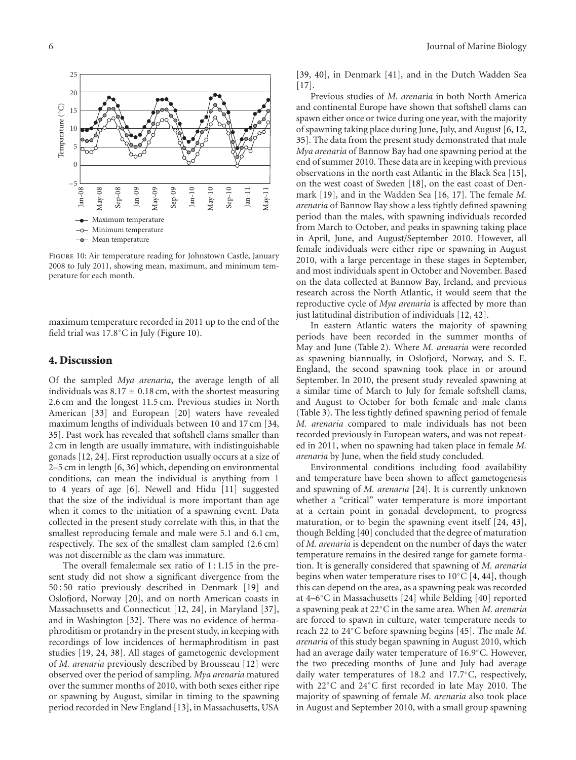![](_page_5_Figure_1.jpeg)

Figure 10: Air temperature reading for Johnstown Castle, January 2008 to July 2011, showing mean, maximum, and minimum temperature for each month.

maximum temperature recorded in 2011 up to the end of the field trial was 17.8◦C in July (Figure 10).

### **4. Discussion**

Of the sampled *Mya arenaria*, the average length of all individuals was  $8.17 \pm 0.18$  cm, with the shortest measuring 2.6 cm and the longest 11.5 cm. Previous studies in North American [33] and European [20] waters have revealed maximum lengths of individuals between 10 and 17 cm [34, 35]. Past work has revealed that softshell clams smaller than 2 cm in length are usually immature, with indistinguishable gonads [12, 24]. First reproduction usually occurs at a size of 2–5 cm in length [6, 36] which, depending on environmental conditions, can mean the individual is anything from 1 to 4 years of age [6]. Newell and Hidu [11] suggested that the size of the individual is more important than age when it comes to the initiation of a spawning event. Data collected in the present study correlate with this, in that the smallest reproducing female and male were 5.1 and 6.1 cm, respectively. The sex of the smallest clam sampled (2.6 cm) was not discernible as the clam was immature.

The overall female:male sex ratio of  $1:1.15$  in the present study did not show a significant divergence from the 50 : 50 ratio previously described in Denmark [19] and Oslofjord, Norway [20], and on north American coasts in Massachusetts and Connecticut [12, 24], in Maryland [37], and in Washington [32]. There was no evidence of hermaphroditism or protandry in the present study, in keeping with recordings of low incidences of hermaphroditism in past studies [19, 24, 38]. All stages of gametogenic development of *M. arenaria* previously described by Brousseau [12] were observed over the period of sampling. *Mya arenaria* matured over the summer months of 2010, with both sexes either ripe or spawning by August, similar in timing to the spawning period recorded in New England [13], in Massachusetts, USA

[39, 40], in Denmark [41], and in the Dutch Wadden Sea  $[17]$ .

Previous studies of *M. arenaria* in both North America and continental Europe have shown that softshell clams can spawn either once or twice during one year, with the majority of spawning taking place during June, July, and August [6, 12, 35]. The data from the present study demonstrated that male *Mya arenaria* of Bannow Bay had one spawning period at the end of summer 2010. These data are in keeping with previous observations in the north east Atlantic in the Black Sea [15], on the west coast of Sweden [18], on the east coast of Denmark [19], and in the Wadden Sea [16, 17]. The female *M. arenaria* of Bannow Bay show a less tightly defined spawning period than the males, with spawning individuals recorded from March to October, and peaks in spawning taking place in April, June, and August/September 2010. However, all female individuals were either ripe or spawning in August 2010, with a large percentage in these stages in September, and most individuals spent in October and November. Based on the data collected at Bannow Bay, Ireland, and previous research across the North Atlantic, it would seem that the reproductive cycle of *Mya arenaria* is affected by more than just latitudinal distribution of individuals [12, 42].

In eastern Atlantic waters the majority of spawning periods have been recorded in the summer months of May and June (Table 2). Where *M. arenaria* were recorded as spawning biannually, in Oslofjord, Norway, and S. E. England, the second spawning took place in or around September. In 2010, the present study revealed spawning at a similar time of March to July for female softshell clams, and August to October for both female and male clams (Table 3). The less tightly defined spawning period of female *M. arenaria* compared to male individuals has not been recorded previously in European waters, and was not repeated in 2011, when no spawning had taken place in female *M. arenaria* by June, when the field study concluded.

Environmental conditions including food availability and temperature have been shown to affect gametogenesis and spawning of *M. arenaria* [24]. It is currently unknown whether a "critical" water temperature is more important at a certain point in gonadal development, to progress maturation, or to begin the spawning event itself [24, 43], though Belding [40] concluded that the degree of maturation of *M. arenaria* is dependent on the number of days the water temperature remains in the desired range for gamete formation. It is generally considered that spawning of *M. arenaria* begins when water temperature rises to  $10°C$  [4, 44], though this can depend on the area, as a spawning peak was recorded at 4–6◦C in Massachusetts [24] while Belding [40] reported a spawning peak at 22◦C in the same area. When *M. arenaria* are forced to spawn in culture, water temperature needs to reach 22 to 24◦C before spawning begins [45]. The male *M. arenaria* of this study began spawning in August 2010, which had an average daily water temperature of 16.9◦C. However, the two preceding months of June and July had average daily water temperatures of 18.2 and 17.7◦C, respectively, with 22◦C and 24◦C first recorded in late May 2010. The majority of spawning of female *M. arenaria* also took place in August and September 2010, with a small group spawning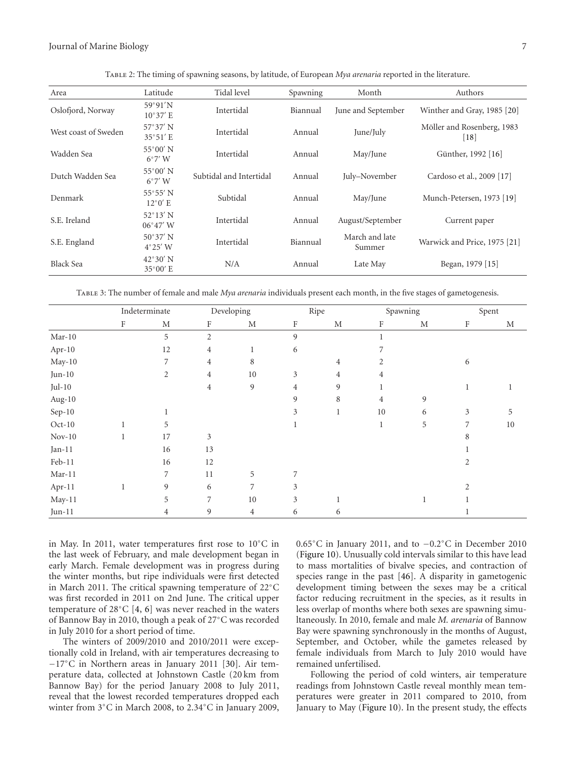| Area                 | Latitude                               | Tidal level             | Spawning | Month                    | Authors                                          |  |  |
|----------------------|----------------------------------------|-------------------------|----------|--------------------------|--------------------------------------------------|--|--|
| Oslofjord, Norway    | 59°91'N<br>$10^{\circ}37'$ E           | Intertidal              | Biannual | June and September       | Winther and Gray, 1985 [20]                      |  |  |
| West coast of Sweden | $57^{\circ}37'$ N<br>$35^{\circ}51'$ E | Intertidal              | Annual   | June/July                | Möller and Rosenberg, 1983<br>$\lceil 18 \rceil$ |  |  |
| Wadden Sea           | $55^{\circ}00'$ N<br>$6^{\circ}7'$ W   | Intertidal              | Annual   | May/June                 | Günther, 1992 [16]                               |  |  |
| Dutch Wadden Sea     | $55^{\circ}00'$ N<br>$6^{\circ}7'$ W   | Subtidal and Intertidal | Annual   | July-November            | Cardoso et al., 2009 [17]                        |  |  |
| Denmark              | $55^{\circ}55'$ N<br>$12^{\circ}0'$ E  | Subtidal                | Annual   | May/June                 | Munch-Petersen, 1973 [19]                        |  |  |
| S.E. Ireland         | $52^{\circ}13'$ N<br>$06^{\circ}47'$ W | Intertidal              | Annual   | August/September         | Current paper                                    |  |  |
| S.E. England         | $50^{\circ}37'$ N<br>$4^{\circ}25'$ W  | Intertidal              | Biannual | March and late<br>Summer | Warwick and Price, 1975 [21]                     |  |  |
| <b>Black Sea</b>     | $42^{\circ}30'$ N<br>$35^{\circ}00'$ E | N/A                     | Annual   | Late May                 | Began, 1979 [15]                                 |  |  |

Table 2: The timing of spawning seasons, by latitude, of European *Mya arenaria* reported in the literature.

Table 3: The number of female and male *Mya arenaria* individuals present each month, in the five stages of gametogenesis.

|                  | Indeterminate |    | Developing     |              | Ripe    |             | Spawning       |             | Spent |             |
|------------------|---------------|----|----------------|--------------|---------|-------------|----------------|-------------|-------|-------------|
|                  | F             | M  | F              | M            | $\rm F$ | $\mathbf M$ | F              | $\mathbf M$ | F     | $\mathbf M$ |
| Mar- $10$        |               | 5  | $\overline{2}$ |              | 9       |             |                |             |       |             |
| Apr-10           |               | 12 | 4              | $\mathbf{1}$ | 6       |             |                |             |       |             |
| May-10           |               | 7  | 4              | 8            |         | 4           | 2              |             | 6     |             |
| $Jun-10$         |               | 2  | 4              | $10\,$       | 3       | 4           | 4              |             |       |             |
| $Jul-10$         |               |    | 4              | 9            | 4       | 9           | 1              |             | 1     |             |
| Aug-10           |               |    |                |              | 9       | 8           | $\overline{4}$ | 9           |       |             |
| Sep-10           |               |    |                |              | 3       | 1           | 10             | 6           | 3     | 5           |
| $Oct-10$         |               | 5  |                |              |         |             |                | 5           | 7     | 10          |
| $\,$ Nov-10 $\,$ |               | 17 | 3              |              |         |             |                |             | 8     |             |
| $Jan-11$         |               | 16 | 13             |              |         |             |                |             |       |             |
| $Feb-11$         |               | 16 | 12             |              |         |             |                |             | 2     |             |
| $Mar-11$         |               | 7  | 11             | 5            | 7       |             |                |             |       |             |
| Apr-11           |               | 9  | 6              | 7            | 3       |             |                |             | 2     |             |
| May-11           |               | 5  | $\overline{7}$ | 10           | 3       |             |                |             |       |             |
| $Jun-11$         |               | 4  | 9              | 4            | 6       | 6           |                |             |       |             |

in May. In 2011, water temperatures first rose to 10◦C in the last week of February, and male development began in early March. Female development was in progress during the winter months, but ripe individuals were first detected in March 2011. The critical spawning temperature of 22◦C was first recorded in 2011 on 2nd June. The critical upper temperature of 28◦C [4, 6] was never reached in the waters of Bannow Bay in 2010, though a peak of 27◦C was recorded in July 2010 for a short period of time.

The winters of 2009/2010 and 2010/2011 were exceptionally cold in Ireland, with air temperatures decreasing to −17◦C in Northern areas in January 2011 [30]. Air temperature data, collected at Johnstown Castle (20 km from Bannow Bay) for the period January 2008 to July 2011, reveal that the lowest recorded temperatures dropped each winter from 3◦C in March 2008, to 2.34◦C in January 2009,

0.65◦C in January 2011, and to −0.2◦C in December 2010 (Figure 10). Unusually cold intervals similar to this have lead to mass mortalities of bivalve species, and contraction of species range in the past [46]. A disparity in gametogenic development timing between the sexes may be a critical factor reducing recruitment in the species, as it results in less overlap of months where both sexes are spawning simultaneously. In 2010, female and male *M. arenaria* of Bannow Bay were spawning synchronously in the months of August, September, and October, while the gametes released by female individuals from March to July 2010 would have remained unfertilised.

Following the period of cold winters, air temperature readings from Johnstown Castle reveal monthly mean temperatures were greater in 2011 compared to 2010, from January to May (Figure 10). In the present study, the effects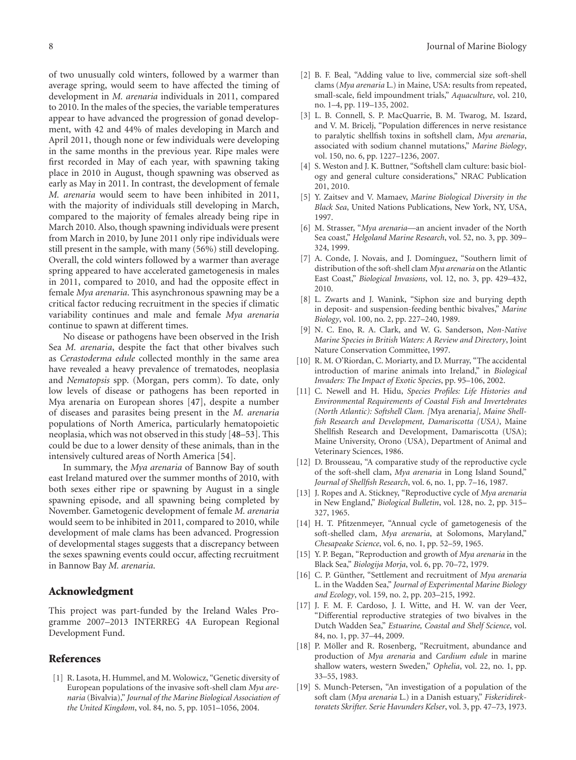of two unusually cold winters, followed by a warmer than average spring, would seem to have affected the timing of development in *M. arenaria* individuals in 2011, compared to 2010. In the males of the species, the variable temperatures appear to have advanced the progression of gonad development, with 42 and 44% of males developing in March and April 2011, though none or few individuals were developing in the same months in the previous year. Ripe males were first recorded in May of each year, with spawning taking place in 2010 in August, though spawning was observed as early as May in 2011. In contrast, the development of female *M. arenaria* would seem to have been inhibited in 2011, with the majority of individuals still developing in March, compared to the majority of females already being ripe in March 2010. Also, though spawning individuals were present from March in 2010, by June 2011 only ripe individuals were still present in the sample, with many (56%) still developing. Overall, the cold winters followed by a warmer than average spring appeared to have accelerated gametogenesis in males in 2011, compared to 2010, and had the opposite effect in female *Mya arenaria*. This asynchronous spawning may be a critical factor reducing recruitment in the species if climatic variability continues and male and female *Mya arenaria* continue to spawn at different times.

No disease or pathogens have been observed in the Irish Sea *M. arenaria*, despite the fact that other bivalves such as *Cerastoderma edule* collected monthly in the same area have revealed a heavy prevalence of trematodes, neoplasia and *Nematopsis* spp. (Morgan, pers comm). To date, only low levels of disease or pathogens has been reported in Mya arenaria on European shores [47], despite a number of diseases and parasites being present in the *M. arenaria* populations of North America, particularly hematopoietic neoplasia, which was not observed in this study [48–53]. This could be due to a lower density of these animals, than in the intensively cultured areas of North America [54].

In summary, the *Mya arenaria* of Bannow Bay of south east Ireland matured over the summer months of 2010, with both sexes either ripe or spawning by August in a single spawning episode, and all spawning being completed by November. Gametogenic development of female *M. arenaria* would seem to be inhibited in 2011, compared to 2010, while development of male clams has been advanced. Progression of developmental stages suggests that a discrepancy between the sexes spawning events could occur, affecting recruitment in Bannow Bay *M. arenaria*.

# **Acknowledgment**

This project was part-funded by the Ireland Wales Programme 2007–2013 INTERREG 4A European Regional Development Fund.

## **References**

[1] R. Lasota, H. Hummel, and M. Wolowicz, "Genetic diversity of European populations of the invasive soft-shell clam *Mya arenaria* (Bivalvia)," *Journal of the Marine Biological Association of the United Kingdom*, vol. 84, no. 5, pp. 1051–1056, 2004.

- [2] B. F. Beal, "Adding value to live, commercial size soft-shell clams (*Mya arenaria* L.) in Maine, USA: results from repeated, small-scale, field impoundment trials," *Aquaculture*, vol. 210, no. 1–4, pp. 119–135, 2002.
- [3] L. B. Connell, S. P. MacQuarrie, B. M. Twarog, M. Iszard, and V. M. Bricelj, "Population differences in nerve resistance to paralytic shellfish toxins in softshell clam, *Mya arenaria*, associated with sodium channel mutations," *Marine Biology*, vol. 150, no. 6, pp. 1227–1236, 2007.
- [4] S. Weston and J. K. Buttner, "Softshell clam culture: basic biology and general culture considerations," NRAC Publication 201, 2010.
- [5] Y. Zaitsev and V. Mamaev, *Marine Biological Diversity in the Black Sea*, United Nations Publications, New York, NY, USA, 1997.
- [6] M. Strasser, "*Mya arenaria*—an ancient invader of the North Sea coast," *Helgoland Marine Research*, vol. 52, no. 3, pp. 309– 324, 1999.
- [7] A. Conde, J. Novais, and J. Domínguez, "Southern limit of distribution of the soft-shell clam *Mya arenaria* on the Atlantic East Coast," *Biological Invasions*, vol. 12, no. 3, pp. 429–432, 2010.
- [8] L. Zwarts and J. Wanink, "Siphon size and burying depth in deposit- and suspension-feeding benthic bivalves," *Marine Biology*, vol. 100, no. 2, pp. 227–240, 1989.
- [9] N. C. Eno, R. A. Clark, and W. G. Sanderson, *Non-Native Marine Species in British Waters: A Review and Directory*, Joint Nature Conservation Committee, 1997.
- [10] R. M. O'Riordan, C. Moriarty, and D. Murray, "The accidental introduction of marine animals into Ireland," in *Biological Invaders: The Impact of Exotic Species*, pp. 95–106, 2002.
- [11] C. Newell and H. Hidu, *Species Profiles: Life Histories and Environmental Requirements of Coastal Fish and Invertebrates (North Atlantic): Softshell Clam. [*Mya arenaria*], Maine Shellfish Research and Development, Damariscotta (USA)*, Maine Shellfish Research and Development, Damariscotta (USA); Maine University, Orono (USA), Department of Animal and Veterinary Sciences, 1986.
- [12] D. Brousseau, "A comparative study of the reproductive cycle of the soft-shell clam, *Mya arenaria* in Long Island Sound," *Journal of Shellfish Research*, vol. 6, no. 1, pp. 7–16, 1987.
- [13] J. Ropes and A. Stickney, "Reproductive cycle of *Mya arenaria* in New England," *Biological Bulletin*, vol. 128, no. 2, pp. 315– 327, 1965.
- [14] H. T. Pfitzenmeyer, "Annual cycle of gametogenesis of the soft-shelled clam, *Mya arenaria*, at Solomons, Maryland," *Chesapeake Science*, vol. 6, no. 1, pp. 52–59, 1965.
- [15] Y. P. Began, "Reproduction and growth of *Mya arenaria* in the Black Sea," *Biologija Morja*, vol. 6, pp. 70–72, 1979.
- [16] C. P. Günther, "Settlement and recruitment of *Mya arenaria* L. in the Wadden Sea," *Journal of Experimental Marine Biology and Ecology*, vol. 159, no. 2, pp. 203–215, 1992.
- [17] J. F. M. F. Cardoso, J. I. Witte, and H. W. van der Veer, "Differential reproductive strategies of two bivalves in the Dutch Wadden Sea," *Estuarine, Coastal and Shelf Science*, vol. 84, no. 1, pp. 37–44, 2009.
- [18] P. Möller and R. Rosenberg, "Recruitment, abundance and production of *Mya arenaria* and *Cardium edule* in marine shallow waters, western Sweden," *Ophelia*, vol. 22, no. 1, pp. 33–55, 1983.
- [19] S. Munch-Petersen, "An investigation of a population of the soft clam (*Mya arenaria* L.) in a Danish estuary," *Fiskeridirektoratets Skrifter. Serie Havunders Kelser*, vol. 3, pp. 47–73, 1973.